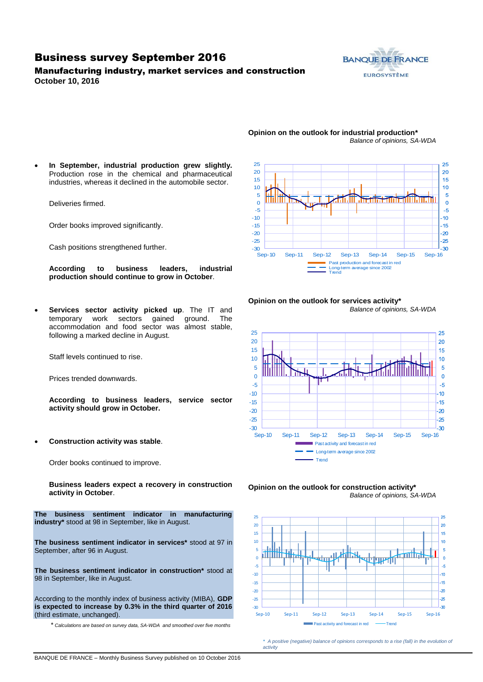### Business survey September 2016

### Manufacturing industry, market services and construction **October 10, 2016**



#### **Opinion on the outlook for industrial production\*** *Balance of opinions, SA-WDA*

 **In September, industrial production grew slightly.**  Production rose in the chemical and pharmaceutical industries, whereas it declined in the automobile sector.

Deliveries firmed.

Order books improved significantly.

Cash positions strengthened further.

**According to business leaders, industrial production should continue to grow in October**.

 **Services sector activity picked up**. The IT and temporary work sectors gained ground. The accommodation and food sector was almost stable, following a marked decline in August.

Staff levels continued to rise.

Prices trended downwards.

**According to business leaders, service sector activity should grow in October.**

**Construction activity was stable**.

Order books continued to improve.

**Business leaders expect a recovery in construction activity in October**.

**The business sentiment indicator in manufacturing industry\*** stood at 98 in September, like in August.

**The business sentiment indicator in services\*** stood at 97 in September, after 96 in August.

**The business sentiment indicator in construction\*** stood at 98 in September, like in August.

According to the monthly index of business activity (MIBA), **GDP is expected to increase by 0.3% in the third quarter of 2016** (third estimate, unchanged).

\* *Calculations are based on survey data, SA-WDA and smoothed over five months*



#### **Opinion on the outlook for services activity\*** *Balance of opinions, SA-WDA*







*\* A positive (negative) balance of opinions corresponds to a rise (fall) in the evolution of activity*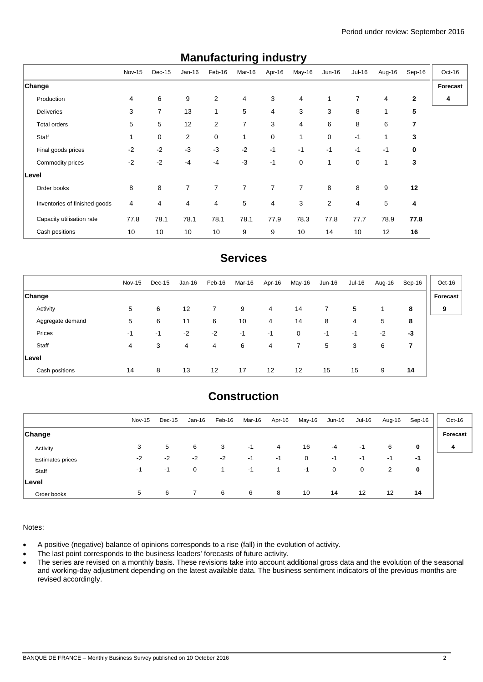| manurautunny muusti y         |                |        |                |                |                |        |                |                |             |        |                |          |
|-------------------------------|----------------|--------|----------------|----------------|----------------|--------|----------------|----------------|-------------|--------|----------------|----------|
|                               | <b>Nov-15</b>  | Dec-15 | $Jan-16$       | Feb-16         | Mar-16         | Apr-16 | May-16         | $Jun-16$       | Jul-16      | Aug-16 | Sep-16         | Oct-16   |
| Change                        |                |        |                |                |                |        |                |                |             |        |                | Forecast |
| Production                    | 4              | 6      | 9              | 2              | 4              | 3      | 4              | 1              | 7           | 4      | $\mathbf{2}$   | 4        |
| <b>Deliveries</b>             | 3              | 7      | 13             | 1              | 5              | 4      | 3              | 3              | 8           | 1      | 5              |          |
| <b>Total orders</b>           | 5              | 5      | 12             | 2              | $\overline{7}$ | 3      | $\overline{4}$ | 6              | 8           | 6      | $\overline{7}$ |          |
| Staff                         | 1              | 0      | 2              | 0              | 1              | 0      | 1              | 0              | $-1$        | 1      | 3              |          |
| Final goods prices            | $-2$           | $-2$   | $-3$           | $-3$           | $-2$           | $-1$   | $-1$           | $-1$           | $-1$        | $-1$   | 0              |          |
| Commodity prices              | $-2$           | $-2$   | $-4$           | $-4$           | $-3$           | $-1$   | $\mathbf 0$    | 1              | $\mathbf 0$ | 1      | 3              |          |
| Level                         |                |        |                |                |                |        |                |                |             |        |                |          |
| Order books                   | 8              | 8      | $\overline{7}$ | $\overline{7}$ | $\overline{7}$ | 7      | $\overline{7}$ | 8              | 8           | 9      | 12             |          |
| Inventories of finished goods | $\overline{4}$ | 4      | 4              | 4              | 5              | 4      | 3              | $\overline{2}$ | 4           | 5      | 4              |          |
| Capacity utilisation rate     | 77.8           | 78.1   | 78.1           | 78.1           | 78.1           | 77.9   | 78.3           | 77.8           | 77.7        | 78.9   | 77.8           |          |
| Cash positions                | 10             | 10     | 10             | 10             | 9              | 9      | 10             | 14             | 10          | 12     | 16             |          |

## **Manufacturing industry**

## **Services**

|                  | Nov-15 | Dec-15 | Jan-16 | Feb-16 | Mar-16 | Apr-16 | May-16            | Jun-16 | Jul-16 | Aug-16 | Sep-16 | Oct-16   |
|------------------|--------|--------|--------|--------|--------|--------|-------------------|--------|--------|--------|--------|----------|
| <b>Change</b>    |        |        |        |        |        |        |                   |        |        |        |        | Forecast |
| Activity         | 5      | 6      | 12     | 7      | 9      | 4      | 14                | 7      | 5      |        | 8      | 9        |
| Aggregate demand | 5      | 6      | 11     | 6      | 10     | 4      | 14                | 8      | 4      | 5      | 8      |          |
| Prices           | -1     | $-1$   | $-2$   | $-2$   | -1     | $-1$   | $\mathbf 0$       | -1     | -1     | $-2$   | $-3$   |          |
| Staff            | 4      | 3      | 4      | 4      | 6      | 4      | $\overline{7}$    | 5      | 3      | 6      | 7      |          |
| Level            |        |        |        |        |        |        |                   |        |        |        |        |          |
| Cash positions   | 14     | 8      | 13     | 12     | 17     | 12     | $12 \overline{ }$ | 15     | 15     | 9      | 14     |          |

# **Construction**

|                         | Nov-15 | Dec-15 | Jan-16         | Feb-16 | Mar-16 | Apr-16 | May-16 | Jun-16 | Jul-16 | Aug-16 | Sep-16 | Oct-16   |
|-------------------------|--------|--------|----------------|--------|--------|--------|--------|--------|--------|--------|--------|----------|
|                         |        |        |                |        |        |        |        |        |        |        |        |          |
| <b>Change</b>           |        |        |                |        |        |        |        |        |        |        |        | Forecast |
| Activity                | 3      | 5      | 6              | 3      | $-1$   | 4      | 16     | $-4$   | -1     | 6      | 0      | 4        |
| <b>Estimates prices</b> | $-2$   | $-2$   | $-2$           | $-2$   | $-1$   | -1     | 0      | $-1$   | $-1$   | -1     | -1     |          |
| Staff                   | -1     | $-1$   | 0              |        | $-1$   |        | $-1$   | 0      | 0      | 2      | 0      |          |
| Level                   |        |        |                |        |        |        |        |        |        |        |        |          |
| Order books             | 5      | 6      | $\overline{7}$ | 6      | 6      | 8      | 10     | 14     | 12     | 12     | 14     |          |

Notes:

- A positive (negative) balance of opinions corresponds to a rise (fall) in the evolution of activity.
- The last point corresponds to the business leaders' forecasts of future activity.
- The series are revised on a monthly basis. These revisions take into account additional gross data and the evolution of the seasonal and working-day adjustment depending on the latest available data. The business sentiment indicators of the previous months are revised accordingly.